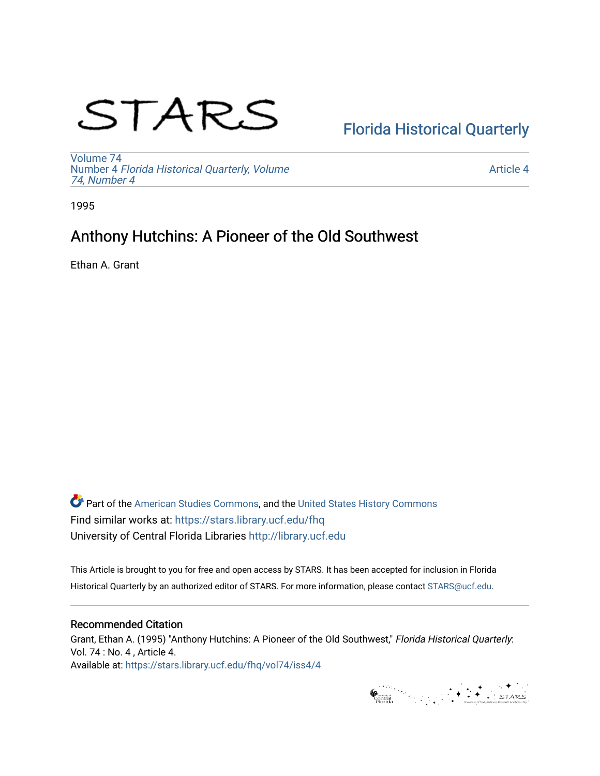# STARS

# [Florida Historical Quarterly](https://stars.library.ucf.edu/fhq)

[Volume 74](https://stars.library.ucf.edu/fhq/vol74) Number 4 [Florida Historical Quarterly, Volume](https://stars.library.ucf.edu/fhq/vol74/iss4)  [74, Number 4](https://stars.library.ucf.edu/fhq/vol74/iss4)

[Article 4](https://stars.library.ucf.edu/fhq/vol74/iss4/4) 

1995

## Anthony Hutchins: A Pioneer of the Old Southwest

Ethan A. Grant

**C** Part of the [American Studies Commons](http://network.bepress.com/hgg/discipline/439?utm_source=stars.library.ucf.edu%2Ffhq%2Fvol74%2Fiss4%2F4&utm_medium=PDF&utm_campaign=PDFCoverPages), and the United States History Commons Find similar works at: <https://stars.library.ucf.edu/fhq> University of Central Florida Libraries [http://library.ucf.edu](http://library.ucf.edu/) 

This Article is brought to you for free and open access by STARS. It has been accepted for inclusion in Florida Historical Quarterly by an authorized editor of STARS. For more information, please contact [STARS@ucf.edu.](mailto:STARS@ucf.edu)

### Recommended Citation

Grant, Ethan A. (1995) "Anthony Hutchins: A Pioneer of the Old Southwest," Florida Historical Quarterly: Vol. 74 : No. 4 , Article 4. Available at: [https://stars.library.ucf.edu/fhq/vol74/iss4/4](https://stars.library.ucf.edu/fhq/vol74/iss4/4?utm_source=stars.library.ucf.edu%2Ffhq%2Fvol74%2Fiss4%2F4&utm_medium=PDF&utm_campaign=PDFCoverPages) 

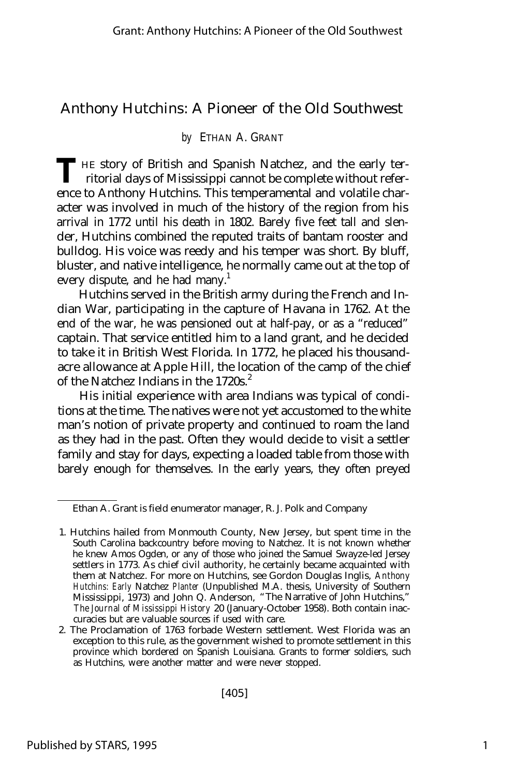## Anthony Hutchins: A Pioneer of the Old Southwest

#### *by* ETHAN A. GRANT

THE story of British and Spanish Natchez, and the early territorial days of Mississippi cannot be complete without referritorial days of Mississippi cannot be complete without reference to Anthony Hutchins. This temperamental and volatile character was involved in much of the history of the region from his arrival in 1772 until his death in 1802. Barely five feet tall and slender, Hutchins combined the reputed traits of bantam rooster and bulldog. His voice was reedy and his temper was short. By bluff, bluster, and native intelligence, he normally came out at the top of every dispute, and he had many.<sup>1</sup>

Hutchins served in the British army during the French and Indian War, participating in the capture of Havana in 1762. At the end of the war, he was pensioned out at half-pay, or as a "reduced" captain. That service entitled him to a land grant, and he decided to take it in British West Florida. In 1772, he placed his thousandacre allowance at Apple Hill, the location of the camp of the chief of the Natchez Indians in the 1720s.<sup>2</sup>

His initial experience with area Indians was typical of conditions at the time. The natives were not yet accustomed to the white man's notion of private property and continued to roam the land as they had in the past. Often they would decide to visit a settler family and stay for days, expecting a loaded table from those with barely enough for themselves. In the early years, they often preyed

Ethan A. Grant is field enumerator manager, R. J. Polk and Company

<sup>1.</sup> Hutchins hailed from Monmouth County, New Jersey, but spent time in the South Carolina backcountry before moving to Natchez. It is not known whether he knew Amos Ogden, or any of those who joined the Samuel Swayze-led Jersey settlers in 1773. As chief civil authority, he certainly became acquainted with them at Natchez. For more on Hutchins, see Gordon Douglas Inglis, *Anthony Hutchins: Early* Natchez *Planter* (Unpublished M.A. thesis, University of Southern Mississippi, 1973) and John Q. Anderson, "The Narrative of John Hutchins," *The Journal of Mississippi History* 20 (January-October 1958). Both contain inaccuracies but are valuable sources if used with care.

<sup>2.</sup> The Proclamation of 1763 forbade Western settlement. West Florida was an exception to this rule, as the government wished to promote settlement in this province which bordered on Spanish Louisiana. Grants to former soldiers, such as Hutchins, were another matter and were never stopped.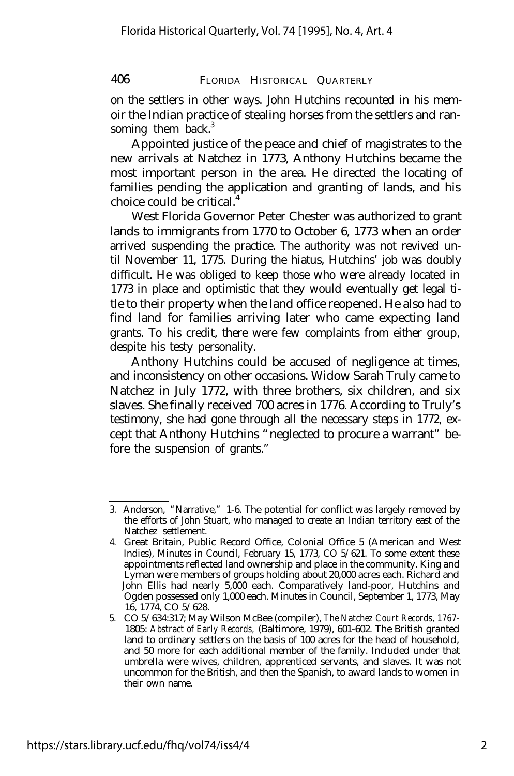on the settlers in other ways. John Hutchins recounted in his memoir the Indian practice of stealing horses from the settlers and ransoming them back. $3$ 

Appointed justice of the peace and chief of magistrates to the new arrivals at Natchez in 1773, Anthony Hutchins became the most important person in the area. He directed the locating of families pending the application and granting of lands, and his choice could be critical.<sup>4</sup>

West Florida Governor Peter Chester was authorized to grant lands to immigrants from 1770 to October 6, 1773 when an order arrived suspending the practice. The authority was not revived until November 11, 1775. During the hiatus, Hutchins' job was doubly difficult. He was obliged to keep those who were already located in 1773 in place and optimistic that they would eventually get legal title to their property when the land office reopened. He also had to find land for families arriving later who came expecting land grants. To his credit, there were few complaints from either group, despite his testy personality.

Anthony Hutchins could be accused of negligence at times, and inconsistency on other occasions. Widow Sarah Truly came to Natchez in July 1772, with three brothers, six children, and six slaves. She finally received 700 acres in 1776. According to Truly's testimony, she had gone through all the necessary steps in 1772, except that Anthony Hutchins "neglected to procure a warrant" before the suspension of grants."

<sup>3.</sup> Anderson, "Narrative," 1-6. The potential for conflict was largely removed by the efforts of John Stuart, who managed to create an Indian territory east of the Natchez settlement.

<sup>4.</sup> Great Britain, Public Record Office, Colonial Office 5 (American and West Indies), Minutes in Council, February 15, 1773, CO 5/621. To some extent these appointments reflected land ownership and place in the community. King and Lyman were members of groups holding about 20,000 acres each. Richard and John Ellis had nearly 5,000 each. Comparatively land-poor, Hutchins and Ogden possessed only 1,000 each. Minutes in Council, September 1, 1773, May 16, 1774, CO 5/628.

<sup>5.</sup> CO 5/634:317; May Wilson McBee (compiler), *The Natchez Court Records, 1767-* 1805: *Abstract of Early Records,* (Baltimore, 1979), 601-602. The British granted land to ordinary settlers on the basis of 100 acres for the head of household, and 50 more for each additional member of the family. Included under that umbrella were wives, children, apprenticed servants, and slaves. It was not uncommon for the British, and then the Spanish, to award lands to women in their own name.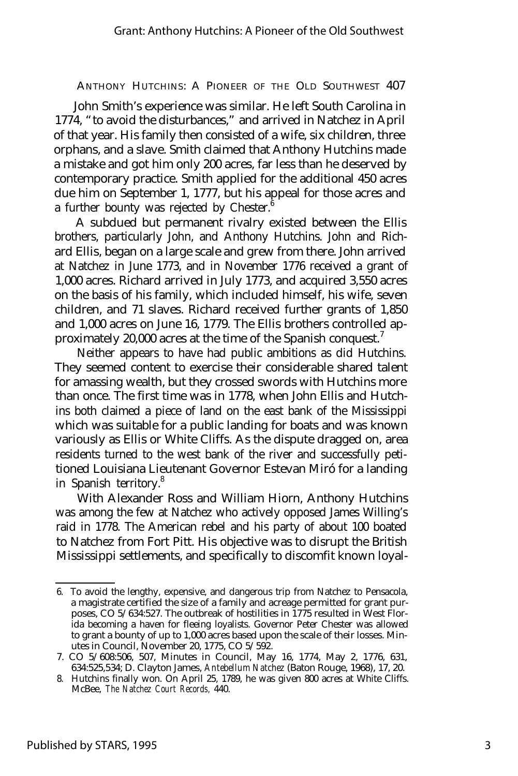John Smith's experience was similar. He left South Carolina in 1774, "to avoid the disturbances," and arrived in Natchez in April of that year. His family then consisted of a wife, six children, three orphans, and a slave. Smith claimed that Anthony Hutchins made a mistake and got him only 200 acres, far less than he deserved by contemporary practice. Smith applied for the additional 450 acres due him on September 1, 1777, but his appeal for those acres and a further bounty was rejected by Chester.<sup> $6$ </sup>

A subdued but permanent rivalry existed between the Ellis brothers, particularly John, and Anthony Hutchins. John and Richard Ellis, began on a large scale and grew from there. John arrived at Natchez in June 1773, and in November 1776 received a grant of 1,000 acres. Richard arrived in July 1773, and acquired 3,550 acres on the basis of his family, which included himself, his wife, seven children, and 71 slaves. Richard received further grants of 1,850 and 1,000 acres on June 16, 1779. The Ellis brothers controlled approximately 20,000 acres at the time of the Spanish conquest.<sup>7</sup>

Neither appears to have had public ambitions as did Hutchins. They seemed content to exercise their considerable shared talent for amassing wealth, but they crossed swords with Hutchins more than once. The first time was in 1778, when John Ellis and Hutchins both claimed a piece of land on the east bank of the Mississippi which was suitable for a public landing for boats and was known variously as Ellis or White Cliffs. As the dispute dragged on, area residents turned to the west bank of the river and successfully petitioned Louisiana Lieutenant Governor Estevan Miró for a landing in Spanish territory.<sup>8</sup>

With Alexander Ross and William Hiorn, Anthony Hutchins was among the few at Natchez who actively opposed James Willing's raid in 1778. The American rebel and his party of about 100 boated to Natchez from Fort Pitt. His objective was to disrupt the British Mississippi settlements, and specifically to discomfit known loyal-

<sup>6.</sup> To avoid the lengthy, expensive, and dangerous trip from Natchez to Pensacola, a magistrate certified the size of a family and acreage permitted for grant purposes, CO 5/634:527. The outbreak of hostilities in 1775 resulted in West Florida becoming a haven for fleeing loyalists. Governor Peter Chester was allowed to grant a bounty of up to 1,000 acres based upon the scale of their losses. Minutes in Council, November 20, 1775, CO 5/592.

<sup>7.</sup> CO 5/608:506, 507, Minutes in Council, May 16, 1774, May 2, 1776, 631, 634:525,534; D. Clayton James, *Antebellum Natchez* (Baton Rouge, 1968), 17, 20.

<sup>8.</sup> Hutchins finally won. On April 25, 1789, he was given 800 acres at White Cliffs. McBee, *The Natchez Court Records,* 440.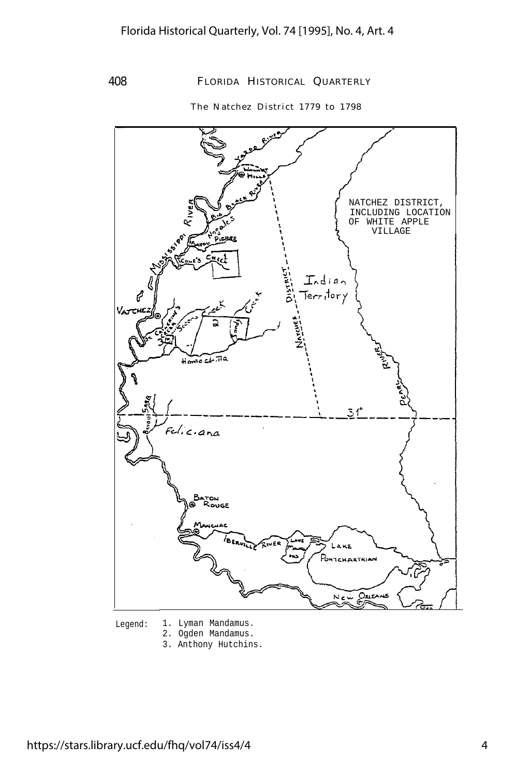The Natchez District 1779 to 1798



- Legend: 1. Lyman Mandamus.
	- 2. Ogden Mandamus.
	- 3. Anthony Hutchins.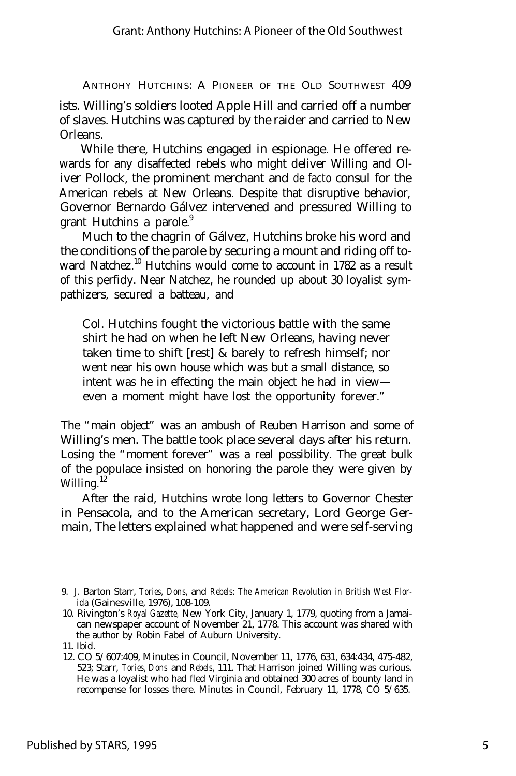ANTHOHY HUTCHINS: A PIONEER OF THE OLD SOUTHWEST 409 ists. Willing's soldiers looted Apple Hill and carried off a number of slaves. Hutchins was captured by the raider and carried to New Orleans.

While there, Hutchins engaged in espionage. He offered rewards for any disaffected rebels who might deliver Willing and Oliver Pollock, the prominent merchant and *de facto* consul for the American rebels at New Orleans. Despite that disruptive behavior, Governor Bernardo Gálvez intervened and pressured Willing to grant Hutchins a parole. $9$ 

Much to the chagrin of Gálvez, Hutchins broke his word and the conditions of the parole by securing a mount and riding off toward Natchez.<sup>10</sup> Hutchins would come to account in 1782 as a result of this perfidy. Near Natchez, he rounded up about 30 loyalist sympathizers, secured a batteau, and

Col. Hutchins fought the victorious battle with the same shirt he had on when he left New Orleans, having never taken time to shift [rest] & barely to refresh himself; nor went near his own house which was but a small distance, so intent was he in effecting the main object he had in view even a moment might have lost the opportunity forever."

The "main object" was an ambush of Reuben Harrison and some of Willing's men. The battle took place several days after his return. Losing the "moment forever" was a real possibility. The great bulk of the populace insisted on honoring the parole they were given by Willing. $12$ 

After the raid, Hutchins wrote long letters to Governor Chester in Pensacola, and to the American secretary, Lord George Germain, The letters explained what happened and were self-serving

<sup>9.</sup> J. Barton Starr, *Tories, Dons,* and *Rebels: The American Revolution in British West Florida* (Gainesville, 1976), 108-109.

<sup>10.</sup> Rivington's *Royal Gazette,* New York City, January 1, 1779, quoting from a Jamaican newspaper account of November 21, 1778. This account was shared with the author by Robin Fabel of Auburn University.

<sup>11.</sup> Ibid.

<sup>12.</sup> CO 5/607:409, Minutes in Council, November 11, 1776, 631, 634:434, 475-482, 523; Starr, *Tories, Dons* and *Rebels,* 111. That Harrison joined Willing was curious. He was a loyalist who had fled Virginia and obtained 300 acres of bounty land in recompense for losses there. Minutes in Council, February 11, 1778, CO 5/635.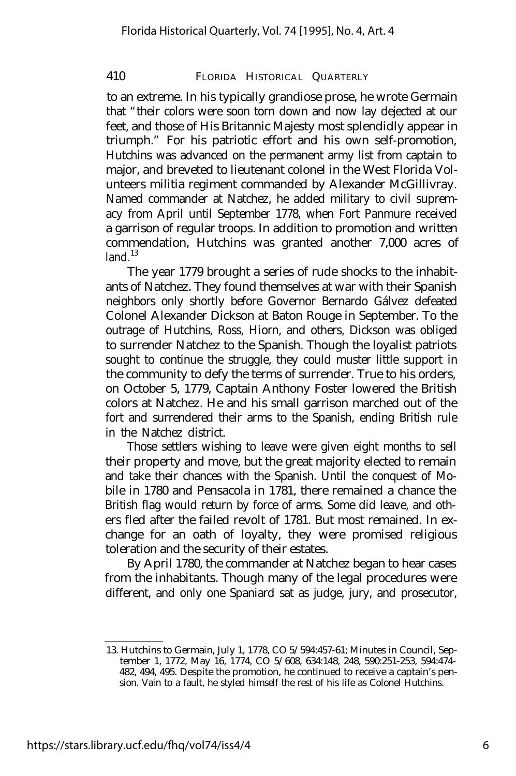to an extreme. In his typically grandiose prose, he wrote Germain that "their colors were soon torn down and now lay dejected at our feet, and those of His Britannic Majesty most splendidly appear in triumph." For his patriotic effort and his own self-promotion, Hutchins was advanced on the permanent army list from captain to major, and breveted to lieutenant colonel in the West Florida Volunteers militia regiment commanded by Alexander McGillivray. Named commander at Natchez, he added military to civil supremacy from April until September 1778, when Fort Panmure received a garrison of regular troops. In addition to promotion and written commendation, Hutchins was granted another 7,000 acres of  $l$ and $l$ <sup>13</sup>

The year 1779 brought a series of rude shocks to the inhabitants of Natchez. They found themselves at war with their Spanish neighbors only shortly before Governor Bernardo Gálvez defeated Colonel Alexander Dickson at Baton Rouge in September. To the outrage of Hutchins, Ross, Hiorn, and others, Dickson was obliged to surrender Natchez to the Spanish. Though the loyalist patriots sought to continue the struggle, they could muster little support in the community to defy the terms of surrender. True to his orders, on October 5, 1779, Captain Anthony Foster lowered the British colors at Natchez. He and his small garrison marched out of the fort and surrendered their arms to the Spanish, ending British rule in the Natchez district.

Those settlers wishing to leave were given eight months to sell their property and move, but the great majority elected to remain and take their chances with the Spanish. Until the conquest of Mobile in 1780 and Pensacola in 1781, there remained a chance the British flag would return by force of arms. Some did leave, and others fled after the failed revolt of 1781. But most remained. In exchange for an oath of loyalty, they were promised religious toleration and the security of their estates.

By April 1780, the commander at Natchez began to hear cases from the inhabitants. Though many of the legal procedures were different, and only one Spaniard sat as judge, jury, and prosecutor,

<sup>13.</sup> Hutchins to Germain, July 1, 1778, CO 5/594:457-61; Minutes in Council, September 1, 1772, May 16, 1774, CO 5/608, 634:148, 248, 590:251-253, 594:474- 482, 494, 495. Despite the promotion, he continued to receive a captain's pension. Vain to a fault, he styled himself the rest of his life as Colonel Hutchins.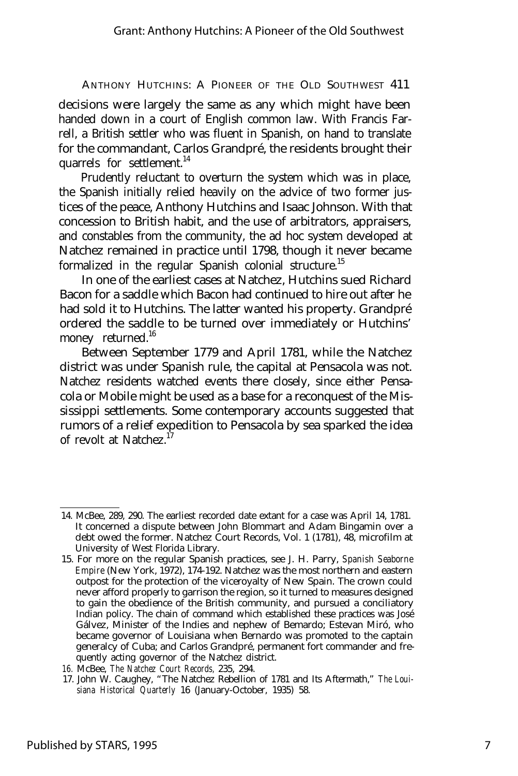decisions were largely the same as any which might have been handed down in a court of English common law. With Francis Farrell, a British settler who was fluent in Spanish, on hand to translate for the commandant, Carlos Grandpré, the residents brought their quarrels for settlement.<sup>14</sup>

Prudently reluctant to overturn the system which was in place, the Spanish initially relied heavily on the advice of two former justices of the peace, Anthony Hutchins and Isaac Johnson. With that concession to British habit, and the use of arbitrators, appraisers, and constables from the community, the ad hoc system developed at Natchez remained in practice until 1798, though it never became formalized in the regular Spanish colonial structure.<sup>15</sup>

In one of the earliest cases at Natchez, Hutchins sued Richard Bacon for a saddle which Bacon had continued to hire out after he had sold it to Hutchins. The latter wanted his property. Grandpré ordered the saddle to be turned over immediately or Hutchins' money returned.<sup>16</sup>

Between September 1779 and April 1781, while the Natchez district was under Spanish rule, the capital at Pensacola was not. Natchez residents watched events there closely, since either Pensacola or Mobile might be used as a base for a reconquest of the Mississippi settlements. Some contemporary accounts suggested that rumors of a relief expedition to Pensacola by sea sparked the idea of revolt at Natchez<sup>17</sup>

<sup>14.</sup> McBee, 289, 290. The earliest recorded date extant for a case was April 14, 1781. It concerned a dispute between John Blommart and Adam Bingamin over a debt owed the former. Natchez Court Records, Vol. 1 (1781), 48, microfilm at University of West Florida Library.

<sup>15.</sup> For more on the regular Spanish practices, see J. H. Parry, *Spanish Seaborne Empire* (New York, 1972), 174-192. Natchez was the most northern and eastern outpost for the protection of the viceroyalty of New Spain. The crown could never afford properly to garrison the region, so it turned to measures designed to gain the obedience of the British community, and pursued a conciliatory Indian policy. The chain of command which established these practices was José Gálvez, Minister of the Indies and nephew of Bemardo; Estevan Miró, who became governor of Louisiana when Bernardo was promoted to the captain generalcy of Cuba; and Carlos Grandpré, permanent fort commander and frequently acting governor of the Natchez district.

*<sup>16.</sup>* McBee, *The Natchez Court Records,* 235, 294.

<sup>17.</sup> John W. Caughey, "The Natchez Rebellion of 1781 and Its Aftermath," *The Louisiana Historical Quarterly* 16 (January-October, 1935) 58.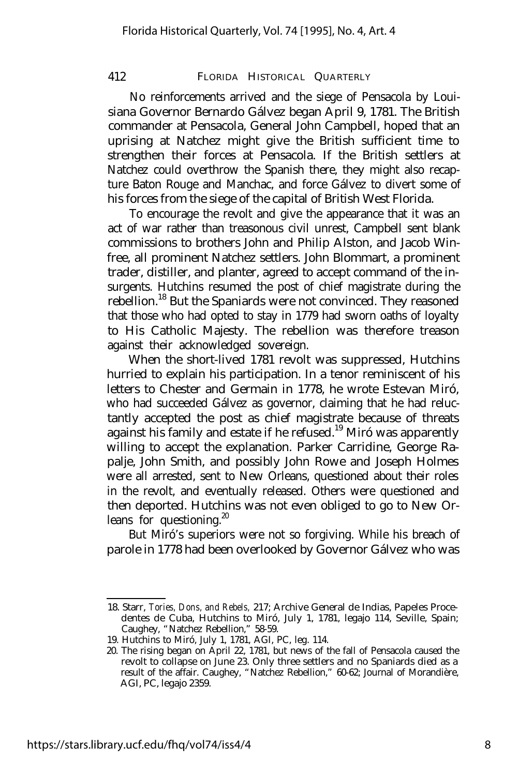No reinforcements arrived and the siege of Pensacola by Louisiana Governor Bernardo Gálvez began April 9, 1781. The British commander at Pensacola, General John Campbell, hoped that an uprising at Natchez might give the British sufficient time to strengthen their forces at Pensacola. If the British settlers at Natchez could overthrow the Spanish there, they might also recapture Baton Rouge and Manchac, and force Gálvez to divert some of his forces from the siege of the capital of British West Florida.

To encourage the revolt and give the appearance that it was an act of war rather than treasonous civil unrest, Campbell sent blank commissions to brothers John and Philip Alston, and Jacob Winfree, all prominent Natchez settlers. John Blommart, a prominent trader, distiller, and planter, agreed to accept command of the insurgents. Hutchins resumed the post of chief magistrate during the rebellion.<sup>18</sup> But the Spaniards were not convinced. They reasoned that those who had opted to stay in 1779 had sworn oaths of loyalty to His Catholic Majesty. The rebellion was therefore treason against their acknowledged sovereign.

When the short-lived 1781 revolt was suppressed, Hutchins hurried to explain his participation. In a tenor reminiscent of his letters to Chester and Germain in 1778, he wrote Estevan Miró, who had succeeded Gálvez as governor, claiming that he had reluctantly accepted the post as chief magistrate because of threats against his family and estate if he refused.<sup>19</sup> Miró was apparently willing to accept the explanation. Parker Carridine, George Rapalje, John Smith, and possibly John Rowe and Joseph Holmes were all arrested, sent to New Orleans, questioned about their roles in the revolt, and eventually released. Others were questioned and then deported. Hutchins was not even obliged to go to New Orleans for questioning. $20$ 

But Miró's superiors were not so forgiving. While his breach of parole in 1778 had been overlooked by Governor Gálvez who was

<sup>18.</sup> Starr, *Tories, Dons, and Rebels,* 217; Archive General de Indias, Papeles Procedentes de Cuba, Hutchins to Miró, July 1, 1781, legajo 114, Seville, Spain; Caughey, "Natchez Rebellion," 58-59.

<sup>19.</sup> Hutchins to Miró, July 1, 1781, AGI, PC, leg. 114.

<sup>20.</sup> The rising began on April 22, 1781, but news of the fall of Pensacola caused the revolt to collapse on June 23. Only three settlers and no Spaniards died as a result of the affair. Caughey, "Natchez Rebellion," 60-62; Journal of Morandière, AGI, PC, legajo 2359.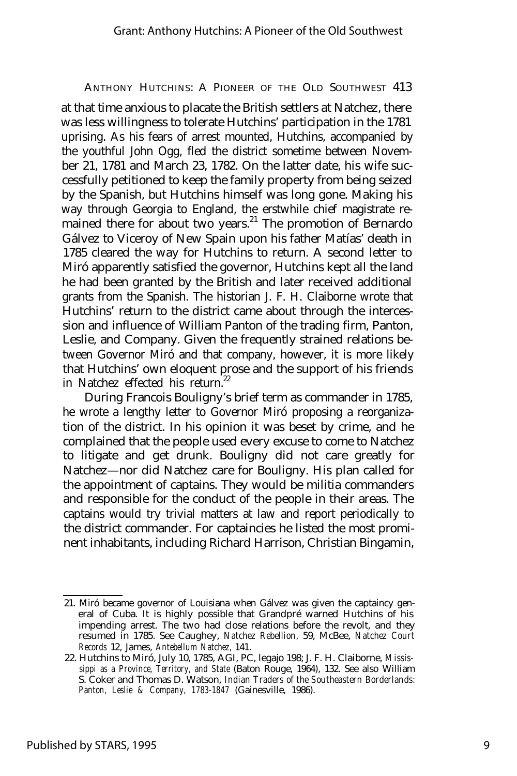at that time anxious to placate the British settlers at Natchez, there was less willingness to tolerate Hutchins' participation in the 1781 uprising. As his fears of arrest mounted, Hutchins, accompanied by the youthful John Ogg, fled the district sometime between November 21, 1781 and March 23, 1782. On the latter date, his wife successfully petitioned to keep the family property from being seized by the Spanish, but Hutchins himself was long gone. Making his way through Georgia to England, the erstwhile chief magistrate remained there for about two years.<sup>21</sup> The promotion of Bernardo Gálvez to Viceroy of New Spain upon his father Matías' death in 1785 cleared the way for Hutchins to return. A second letter to Miró apparently satisfied the governor, Hutchins kept all the land he had been granted by the British and later received additional grants from the Spanish. The historian J. F. H. Claiborne wrote that Hutchins' return to the district came about through the intercession and influence of William Panton of the trading firm, Panton, Leslie, and Company. Given the frequently strained relations between Governor Miró and that company, however, it is more likely that Hutchins' own eloquent prose and the support of his friends in Natchez effected his return.<sup>22</sup>

During Francois Bouligny's brief term as commander in 1785, he wrote a lengthy letter to Governor Miró proposing a reorganization of the district. In his opinion it was beset by crime, and he complained that the people used every excuse to come to Natchez to litigate and get drunk. Bouligny did not care greatly for Natchez— nor did Natchez care for Bouligny. His plan called for the appointment of captains. They would be militia commanders and responsible for the conduct of the people in their areas. The captains would try trivial matters at law and report periodically to the district commander. For captaincies he listed the most prominent inhabitants, including Richard Harrison, Christian Bingamin,

<sup>21.</sup> Miró became governor of Louisiana when Gálvez was given the captaincy general of Cuba. It is highly possible that Grandpré warned Hutchins of his impending arrest. The two had close relations before the revolt, and they resumed in 1785. See Caughey, *Natchez Rebellion,* 59, McBee, *Natchez Court Records* 12, James, *Antebellum Natchez,* 141.

<sup>22.</sup> Hutchins to Miró, July 10, 1785, AGI, PC, legajo 198; J. F. H. Claiborne, *Mississippi as a Province, Territory, and State* (Baton Rouge, 1964), 132. See also William S. Coker and Thomas D. Watson, *Indian Traders of the Southeastern Borderlands: Panton, Leslie & Company, 1783-1847* (Gainesville, 1986).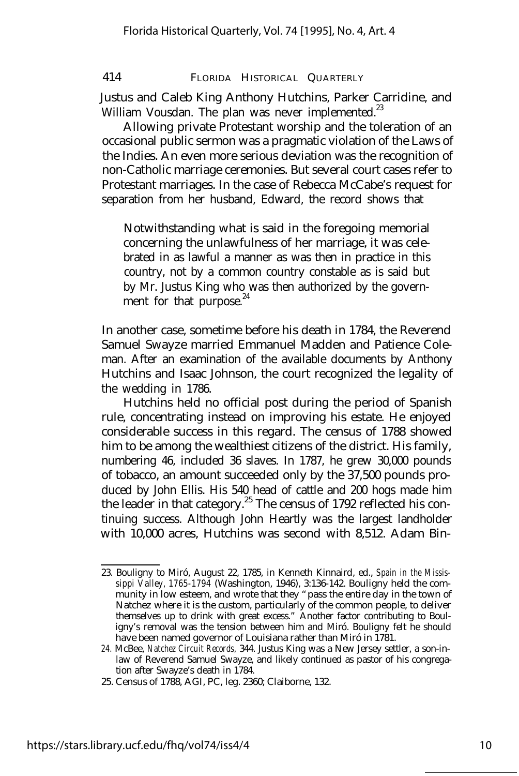Justus and Caleb King Anthony Hutchins, Parker Carridine, and William Vousdan. The plan was never implemented.<sup>23</sup>

Allowing private Protestant worship and the toleration of an occasional public sermon was a pragmatic violation of the Laws of the Indies. An even more serious deviation was the recognition of non-Catholic marriage ceremonies. But several court cases refer to Protestant marriages. In the case of Rebecca McCabe's request for separation from her husband, Edward, the record shows that

Notwithstanding what is said in the foregoing memorial concerning the unlawfulness of her marriage, it was celebrated in as lawful a manner as was then in practice in this country, not by a common country constable as is said but by Mr. Justus King who was then authorized by the government for that purpose.<sup>24</sup>

In another case, sometime before his death in 1784, the Reverend Samuel Swayze married Emmanuel Madden and Patience Coleman. After an examination of the available documents by Anthony Hutchins and Isaac Johnson, the court recognized the legality of the wedding in 1786.

Hutchins held no official post during the period of Spanish rule, concentrating instead on improving his estate. He enjoyed considerable success in this regard. The census of 1788 showed him to be among the wealthiest citizens of the district. His family, numbering 46, included 36 slaves. In 1787, he grew 30,000 pounds of tobacco, an amount succeeded only by the 37,500 pounds produced by John Ellis. His 540 head of cattle and 200 hogs made him the leader in that category.<sup>25</sup> The census of 1792 reflected his continuing success. Although John Heartly was the largest landholder with 10,000 acres, Hutchins was second with 8,512. Adam Bin-

<sup>23.</sup> Bouligny to Miró, August 22, 1785, in Kenneth Kinnaird, ed., *Spain in the Mississippi Valley, 1765-1794* (Washington, 1946), 3:136-142. Bouligny held the community in low esteem, and wrote that they "pass the entire day in the town of Natchez where it is the custom, particularly of the common people, to deliver themselves up to drink with great excess." Another factor contributing to Bouligny's removal was the tension between him and Miró. Bouligny felt he should have been named governor of Louisiana rather than Miró in 1781.

*<sup>24.</sup>* McBee, *Natchez Circuit Records,* 344. Justus King was a New Jersey settler, a son-inlaw of Reverend Samuel Swayze, and likely continued as pastor of his congregation after Swayze's death in 1784.

<sup>25.</sup> Census of 1788, AGI, PC, leg. 2360; Claiborne, 132.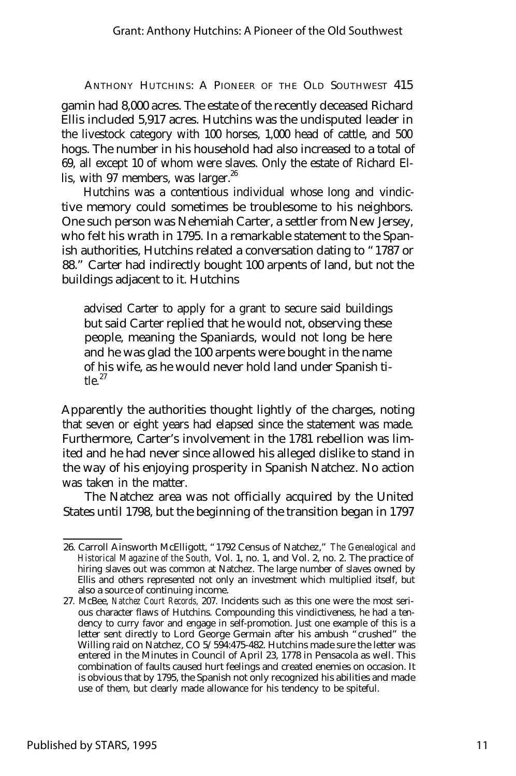gamin had 8,000 acres. The estate of the recently deceased Richard Ellis included 5,917 acres. Hutchins was the undisputed leader in the livestock category with 100 horses, 1,000 head of cattle, and 500 hogs. The number in his household had also increased to a total of 69, all except 10 of whom were slaves. Only the estate of Richard Ellis, with 97 members, was larger. $^{26}$ 

Hutchins was a contentious individual whose long and vindictive memory could sometimes be troublesome to his neighbors. One such person was Nehemiah Carter, a settler from New Jersey, who felt his wrath in 1795. In a remarkable statement to the Spanish authorities, Hutchins related a conversation dating to "1787 or 88." Carter had indirectly bought 100 arpents of land, but not the buildings adjacent to it. Hutchins

advised Carter to apply for a grant to secure said buildings but said Carter replied that he would not, observing these people, meaning the Spaniards, would not long be here and he was glad the 100 arpents were bought in the name of his wife, as he would never hold land under Spanish ti $t$ le. $27$ 

Apparently the authorities thought lightly of the charges, noting that seven or eight years had elapsed since the statement was made. Furthermore, Carter's involvement in the 1781 rebellion was limited and he had never since allowed his alleged dislike to stand in the way of his enjoying prosperity in Spanish Natchez. No action was taken in the matter.

The Natchez area was not officially acquired by the United States until 1798, but the beginning of the transition began in 1797

<sup>26.</sup> Carroll Ainsworth McElligott, "1792 Census of Natchez," *The Genealogical and Historical Magazine of the South,* Vol. 1, no. 1, and Vol. 2, no. 2. The practice of hiring slaves out was common at Natchez. The large number of slaves owned by Ellis and others represented not only an investment which multiplied itself, but also a source of continuing income.

<sup>27.</sup> McBee, *Natchez Court Records,* 207. Incidents such as this one were the most serious character flaws of Hutchins. Compounding this vindictiveness, he had a tendency to curry favor and engage in self-promotion. Just one example of this is a letter sent directly to Lord George Germain after his ambush "crushed" the Willing raid on Natchez, CO 5/594:475-482. Hutchins made sure the letter was entered in the Minutes in Council of April 23, 1778 in Pensacola as well. This combination of faults caused hurt feelings and created enemies on occasion. It is obvious that by 1795, the Spanish not only recognized his abilities and made use of them, but clearly made allowance for his tendency to be spiteful.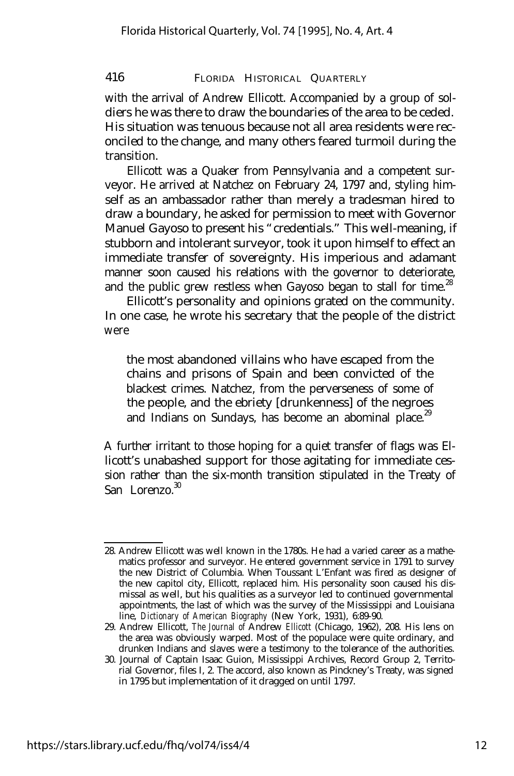with the arrival of Andrew Ellicott. Accompanied by a group of soldiers he was there to draw the boundaries of the area to be ceded. His situation was tenuous because not all area residents were reconciled to the change, and many others feared turmoil during the transition.

Ellicott was a Quaker from Pennsylvania and a competent surveyor. He arrived at Natchez on February 24, 1797 and, styling himself as an ambassador rather than merely a tradesman hired to draw a boundary, he asked for permission to meet with Governor Manuel Gayoso to present his "credentials." This well-meaning, if stubborn and intolerant surveyor, took it upon himself to effect an immediate transfer of sovereignty. His imperious and adamant manner soon caused his relations with the governor to deteriorate, and the public grew restless when Gayoso began to stall for time.<sup>28</sup>

Ellicott's personality and opinions grated on the community. In one case, he wrote his secretary that the people of the district were

the most abandoned villains who have escaped from the chains and prisons of Spain and been convicted of the blackest crimes. Natchez, from the perverseness of some of the people, and the ebriety [drunkenness] of the negroes and Indians on Sundays, has become an abominal place.<sup>29</sup>

A further irritant to those hoping for a quiet transfer of flags was Ellicott's unabashed support for those agitating for immediate cession rather than the six-month transition stipulated in the Treaty of  $\mathrm{San}$  Lorenzo.  $30$ 

<sup>28.</sup> Andrew Ellicott was well known in the 1780s. He had a varied career as a mathematics professor and surveyor. He entered government service in 1791 to survey the new District of Columbia. When Toussant L'Enfant was fired as designer of the new capitol city, Ellicott, replaced him. His personality soon caused his dismissal as well, but his qualities as a surveyor led to continued governmental appointments, the last of which was the survey of the Mississippi and Louisiana line, *Dictionary of American Biography* (New York, 1931), 6:89-90.

<sup>29.</sup> Andrew Ellicott, *The Journal of* Andrew *Ellicott* (Chicago, 1962), 208. His lens on the area was obviously warped. Most of the populace were quite ordinary, and drunken Indians and slaves were a testimony to the tolerance of the authorities.

<sup>30.</sup> Journal of Captain Isaac Guion, Mississippi Archives, Record Group 2, Territorial Governor, files I, 2. The accord, also known as Pinckney's Treaty, was signed in 1795 but implementation of it dragged on until 1797.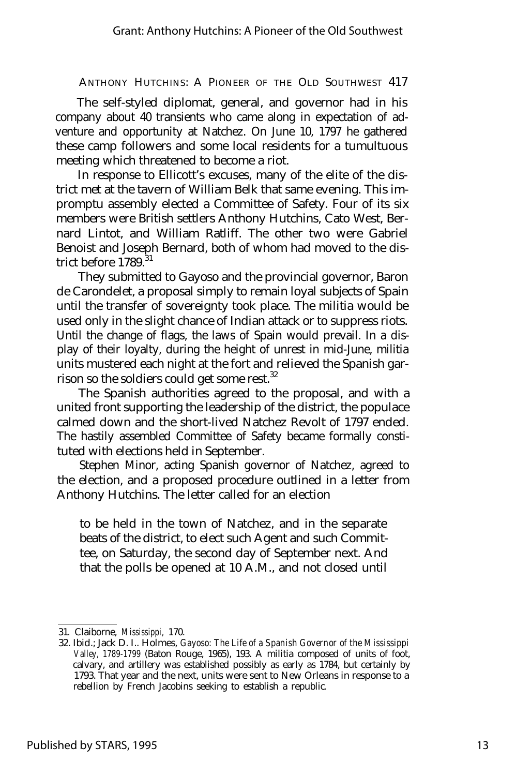The self-styled diplomat, general, and governor had in his company about 40 transients who came along in expectation of adventure and opportunity at Natchez. On June 10, 1797 he gathered these camp followers and some local residents for a tumultuous meeting which threatened to become a riot.

In response to Ellicott's excuses, many of the elite of the district met at the tavern of William Belk that same evening. This impromptu assembly elected a Committee of Safety. Four of its six members were British settlers Anthony Hutchins, Cato West, Bernard Lintot, and William Ratliff. The other two were Gabriel Benoist and Joseph Bernard, both of whom had moved to the district before 1789.<sup>31</sup>

They submitted to Gayoso and the provincial governor, Baron de Carondelet, a proposal simply to remain loyal subjects of Spain until the transfer of sovereignty took place. The militia would be used only in the slight chance of Indian attack or to suppress riots. Until the change of flags, the laws of Spain would prevail. In a display of their loyalty, during the height of unrest in mid-June, militia units mustered each night at the fort and relieved the Spanish garrison so the soldiers could get some rest.<sup>32</sup>

The Spanish authorities agreed to the proposal, and with a united front supporting the leadership of the district, the populace calmed down and the short-lived Natchez Revolt of 1797 ended. The hastily assembled Committee of Safety became formally constituted with elections held in September.

Stephen Minor, acting Spanish governor of Natchez, agreed to the election, and a proposed procedure outlined in a letter from Anthony Hutchins. The letter called for an election

to be held in the town of Natchez, and in the separate beats of the district, to elect such Agent and such Committee, on Saturday, the second day of September next. And that the polls be opened at 10 A.M., and not closed until

<sup>31.</sup> Claiborne, *Mississippi,* 170.

<sup>32.</sup> Ibid.; Jack D. I.. Holmes, *Gayoso: The Life of a Spanish Governor of the Mississippi Valley, 1789-1799* (Baton Rouge, 1965), 193. A militia composed of units of foot, calvary, and artillery was established possibly as early as 1784, but certainly by 1793. That year and the next, units were sent to New Orleans in response to a rebellion by French Jacobins seeking to establish a republic.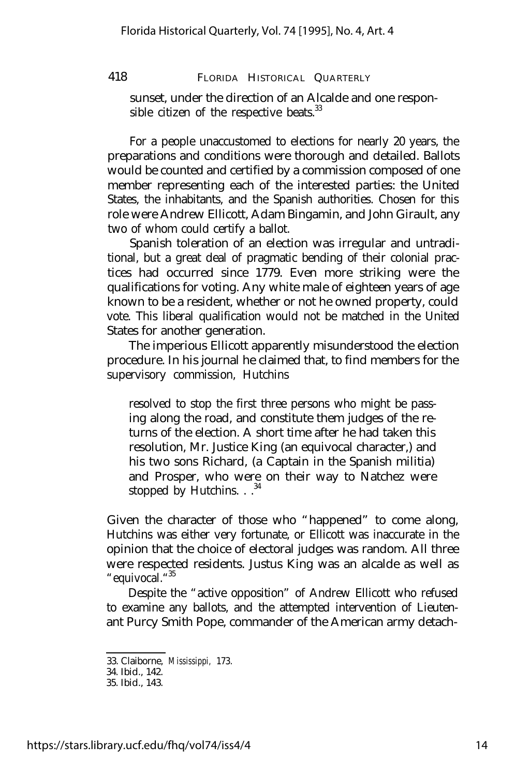sunset, under the direction of an Alcalde and one responsible citizen of the respective beats. $33$ 

For a people unaccustomed to elections for nearly 20 years, the preparations and conditions were thorough and detailed. Ballots would be counted and certified by a commission composed of one member representing each of the interested parties: the United States, the inhabitants, and the Spanish authorities. Chosen for this role were Andrew Ellicott, Adam Bingamin, and John Girault, any two of whom could certify a ballot.

Spanish toleration of an election was irregular and untraditional, but a great deal of pragmatic bending of their colonial practices had occurred since 1779. Even more striking were the qualifications for voting. Any white male of eighteen years of age known to be a resident, whether or not he owned property, could vote. This liberal qualification would not be matched in the United States for another generation.

The imperious Ellicott apparently misunderstood the election procedure. In his journal he claimed that, to find members for the supervisory commission, Hutchins

resolved to stop the first three persons who might be passing along the road, and constitute them judges of the returns of the election. A short time after he had taken this resolution, Mr. Justice King (an equivocal character,) and his two sons Richard, (a Captain in the Spanish militia) and Prosper, who were on their way to Natchez were stopped by Hutchins.  $.$   $.^{34}$ 

Given the character of those who "happened" to come along, Hutchins was either very fortunate, or Ellicott was inaccurate in the opinion that the choice of electoral judges was random. All three were respected residents. Justus King was an alcalde as well as "equivocal." 35

Despite the "active opposition" of Andrew Ellicott who refused to examine any ballots, and the attempted intervention of Lieutenant Purcy Smith Pope, commander of the American army detach-

<sup>33.</sup> Claiborne, *Mississippi,* 173.

<sup>34.</sup> Ibid., 142.

<sup>35.</sup> Ibid., 143.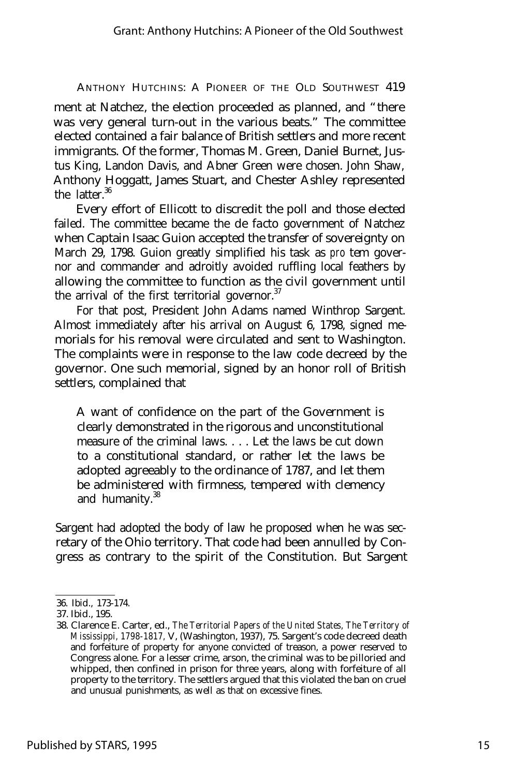ment at Natchez, the election proceeded as planned, and "there was very general turn-out in the various beats." The committee elected contained a fair balance of British settlers and more recent immigrants. Of the former, Thomas M. Green, Daniel Burnet, Justus King, Landon Davis, and Abner Green were chosen. John Shaw, Anthony Hoggatt, James Stuart, and Chester Ashley represented the latter.<sup>36</sup>

Every effort of Ellicott to discredit the poll and those elected failed. The committee became the *de facto* government of Natchez when Captain Isaac Guion accepted the transfer of sovereignty on March 29, 1798. Guion greatly simplified his task as *pro tem* governor and commander and adroitly avoided ruffling local feathers by allowing the committee to function as the civil government until the arrival of the first territorial governor.<sup>37</sup>

For that post, President John Adams named Winthrop Sargent. Almost immediately after his arrival on August 6, 1798, signed memorials for his removal were circulated and sent to Washington. The complaints were in response to the law code decreed by the governor. One such memorial, signed by an honor roll of British settlers, complained that

A want of confidence on the part of the Government is clearly demonstrated in the rigorous and unconstitutional measure of the criminal laws. . . . Let the laws be cut down to a constitutional standard, or rather let the laws be adopted agreeably to the ordinance of 1787, and let them be administered with firmness, tempered with clemency and humanity.<sup>38</sup>

Sargent had adopted the body of law he proposed when he was secretary of the Ohio territory. That code had been annulled by Congress as contrary to the spirit of the Constitution. But Sargent

<sup>36.</sup> Ibid., 173-174.

<sup>37.</sup> Ibid., 195.

<sup>38.</sup> Clarence E. Carter, ed., *The Territorial Papers of the United States, The Territory of Mississippi, 1798-1817,* V, (Washington, 1937), 75. Sargent's code decreed death and forfeiture of property for anyone convicted of treason, a power reserved to Congress alone. For a lesser crime, arson, the criminal was to be pilloried and whipped, then confined in prison for three years, along with forfeiture of all property to the territory. The settlers argued that this violated the ban on cruel and unusual punishments, as well as that on excessive fines.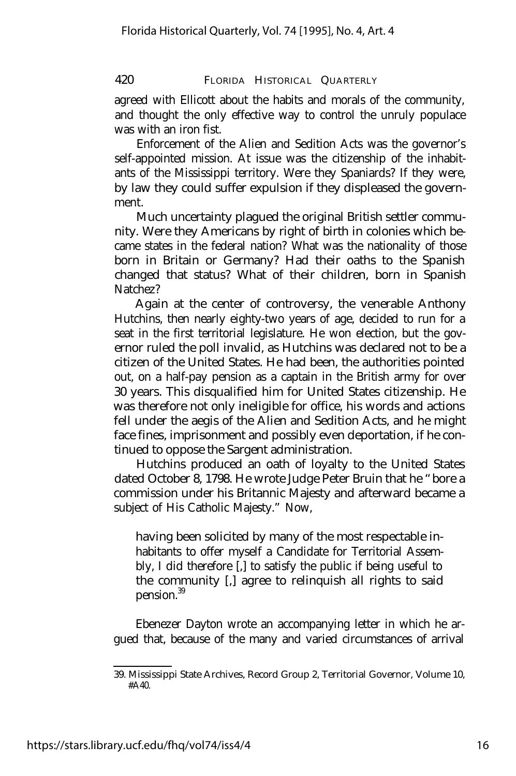agreed with Ellicott about the habits and morals of the community, and thought the only effective way to control the unruly populace was with an iron fist.

Enforcement of the Alien and Sedition Acts was the governor's self-appointed mission. At issue was the citizenship of the inhabitants of the Mississippi territory. Were they Spaniards? If they were, by law they could suffer expulsion if they displeased the government.

Much uncertainty plagued the original British settler community. Were they Americans by right of birth in colonies which became states in the federal nation? What was the nationality of those born in Britain or Germany? Had their oaths to the Spanish changed that status? What of their children, born in Spanish Natchez?

Again at the center of controversy, the venerable Anthony Hutchins, then nearly eighty-two years of age, decided to run for a seat in the first territorial legislature. He won election, but the governor ruled the poll invalid, as Hutchins was declared not to be a citizen of the United States. He had been, the authorities pointed out, on a half-pay pension as a captain in the British army for over 30 years. This disqualified him for United States citizenship. He was therefore not only ineligible for office, his words and actions fell under the aegis of the Alien and Sedition Acts, and he might face fines, imprisonment and possibly even deportation, if he continued to oppose the Sargent administration.

Hutchins produced an oath of loyalty to the United States dated October 8, 1798. He wrote Judge Peter Bruin that he "bore a commission under his Britannic Majesty and afterward became a subject of His Catholic Majesty." Now,

having been solicited by many of the most respectable inhabitants to offer myself a Candidate for Territorial Assembly, I did therefore [,] to satisfy the public if being useful to the community [,] agree to relinquish all rights to said pension.<sup>39</sup>

Ebenezer Dayton wrote an accompanying letter in which he argued that, because of the many and varied circumstances of arrival

<sup>39.</sup> Mississippi State Archives, Record Group 2, Territorial Governor, Volume 10,  $#A40.$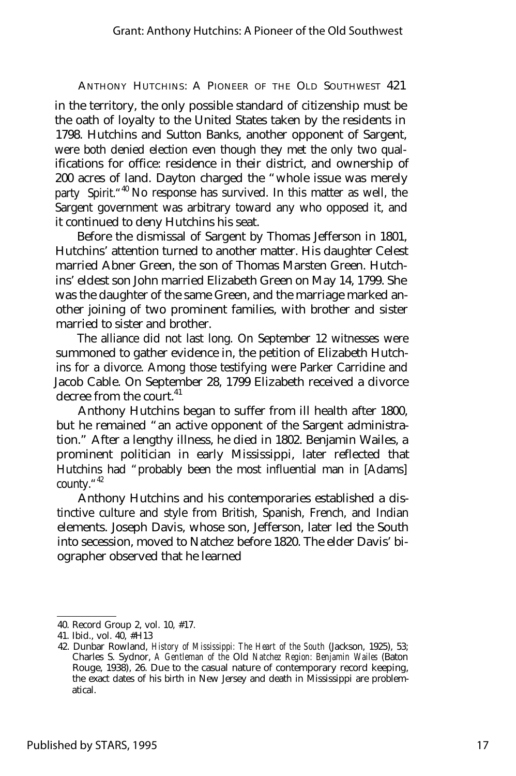in the territory, the only possible standard of citizenship must be the oath of loyalty to the United States taken by the residents in 1798. Hutchins and Sutton Banks, another opponent of Sargent, were both denied election even though they met the only two qualifications for office: residence in their district, and ownership of 200 acres of land. Dayton charged the "whole issue was merely party Spirit.<sup>"40</sup> No response has survived. In this matter as well, the Sargent government was arbitrary toward any who opposed it, and it continued to deny Hutchins his seat.

Before the dismissal of Sargent by Thomas Jefferson in 1801, Hutchins' attention turned to another matter. His daughter Celest married Abner Green, the son of Thomas Marsten Green. Hutchins' eldest son John married Elizabeth Green on May 14, 1799. She was the daughter of the same Green, and the marriage marked another joining of two prominent families, with brother and sister married to sister and brother.

The alliance did not last long. On September 12 witnesses were summoned to gather evidence in, the petition of Elizabeth Hutchins for a divorce. Among those testifying were Parker Carridine and Jacob Cable. On September 28, 1799 Elizabeth received a divorce decree from the court.<sup>41</sup>

Anthony Hutchins began to suffer from ill health after 1800, but he remained "an active opponent of the Sargent administration." After a lengthy illness, he died in 1802. Benjamin Wailes, a prominent politician in early Mississippi, later reflected that Hutchins had "probably been the most influential man in [Adams] county. $42$ 

Anthony Hutchins and his contemporaries established a distinctive culture and style from British, Spanish, French, and Indian elements. Joseph Davis, whose son, Jefferson, later led the South into secession, moved to Natchez before 1820. The elder Davis' biographer observed that he learned

<sup>40.</sup> Record Group 2, vol. 10, #17.

<sup>41.</sup> Ibid., vol. 40, #H13

<sup>42.</sup> Dunbar Rowland, *History of Mississippi: The Heart of the South* (Jackson, 1925), 53; Charles S. Sydnor, *A Gentleman of the* Old *Natchez Region: Benjamin Wailes* (Baton Rouge, 1938), 26. Due to the casual nature of contemporary record keeping, the exact dates of his birth in New Jersey and death in Mississippi are problematical.